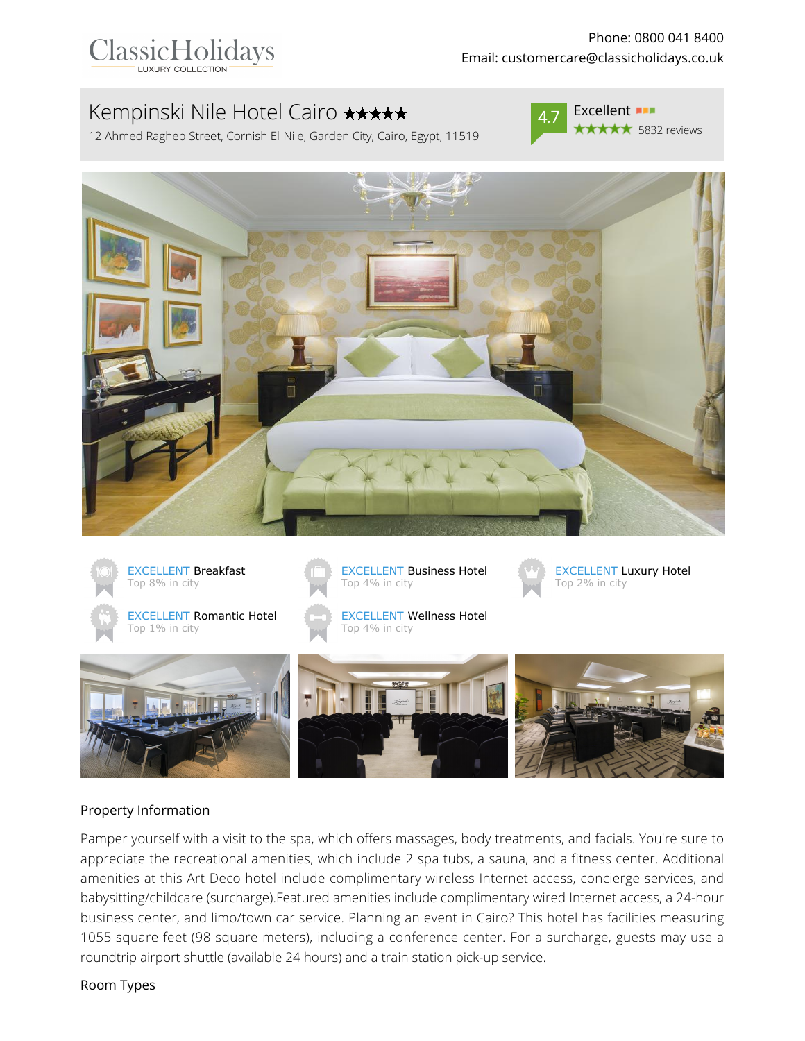# Kempinski Nile Hotel Cairo **\*\*\*\*\***

12 Ahmed Ragheb Street, Cornish El-Nile, Garden City, Cairo, Egypt, 11519



Excellent **BIL** \*\*\*\*\* 5832 reviews





#### Property Information

Pamper yourself with a visit to the spa, which offers massages, body treatments, and facials. You're sure to appreciate the recreational amenities, which include 2 spa tubs, a sauna, and a fitness center. Additional amenities at this Art Deco hotel include complimentary wireless Internet access, concierge services, and babysitting/childcare (surcharge).Featured amenities include complimentary wired Internet access, a 24-hour business center, and limo/town car service. Planning an event in Cairo? This hotel has facilities measuring 1055 square feet (98 square meters), including a conference center. For a surcharge, guests may use a roundtrip airport shuttle (available 24 hours) and a train station pick-up service.

#### Room Types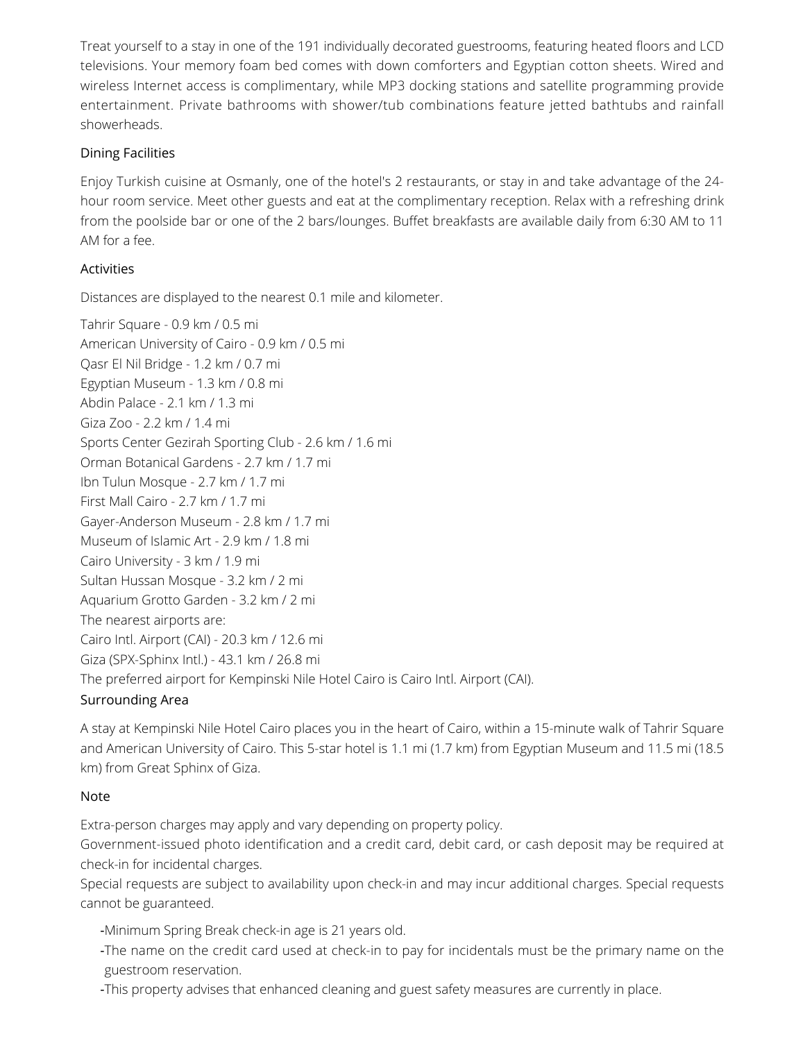Treat yourself to a stay in one of the 191 individually decorated guestrooms, featuring heated floors and LCD televisions. Your memory foam bed comes with down comforters and Egyptian cotton sheets. Wired and wireless Internet access is complimentary, while MP3 docking stations and satellite programming provide entertainment. Private bathrooms with shower/tub combinations feature jetted bathtubs and rainfall showerheads.

### Dining Facilities

Enjoy Turkish cuisine at Osmanly, one of the hotel's 2 restaurants, or stay in and take advantage of the 24 hour room service. Meet other guests and eat at the complimentary reception. Relax with a refreshing drink from the poolside bar or one of the 2 bars/lounges. Buffet breakfasts are available daily from 6:30 AM to 11 AM for a fee.

## Activities

Distances are displayed to the nearest 0.1 mile and kilometer.

Tahrir Square - 0.9 km / 0.5 mi American University of Cairo - 0.9 km / 0.5 mi Qasr El Nil Bridge - 1.2 km / 0.7 mi Egyptian Museum - 1.3 km / 0.8 mi Abdin Palace - 2.1 km / 1.3 mi Giza Zoo - 2.2 km / 1.4 mi Sports Center Gezirah Sporting Club - 2.6 km / 1.6 mi Orman Botanical Gardens - 2.7 km / 1.7 mi Ibn Tulun Mosque - 2.7 km / 1.7 mi First Mall Cairo - 2.7 km / 1.7 mi Gayer-Anderson Museum - 2.8 km / 1.7 mi Museum of Islamic Art - 2.9 km / 1.8 mi Cairo University - 3 km / 1.9 mi Sultan Hussan Mosque - 3.2 km / 2 mi Aquarium Grotto Garden - 3.2 km / 2 mi The nearest airports are: Cairo Intl. Airport (CAI) - 20.3 km / 12.6 mi Giza (SPX-Sphinx Intl.) - 43.1 km / 26.8 mi The preferred airport for Kempinski Nile Hotel Cairo is Cairo Intl. Airport (CAI).

#### Surrounding Area

A stay at Kempinski Nile Hotel Cairo places you in the heart of Cairo, within a 15-minute walk of Tahrir Square and American University of Cairo. This 5-star hotel is 1.1 mi (1.7 km) from Egyptian Museum and 11.5 mi (18.5 km) from Great Sphinx of Giza.

#### Note

Extra-person charges may apply and vary depending on property policy.

Government-issued photo identification and a credit card, debit card, or cash deposit may be required at check-in for incidental charges.

Special requests are subject to availability upon check-in and may incur additional charges. Special requests cannot be guaranteed.

-Minimum Spring Break check-in age is 21 years old.

-The name on the credit card used at check-in to pay for incidentals must be the primary name on the guestroom reservation.

-This property advises that enhanced cleaning and guest safety measures are currently in place.